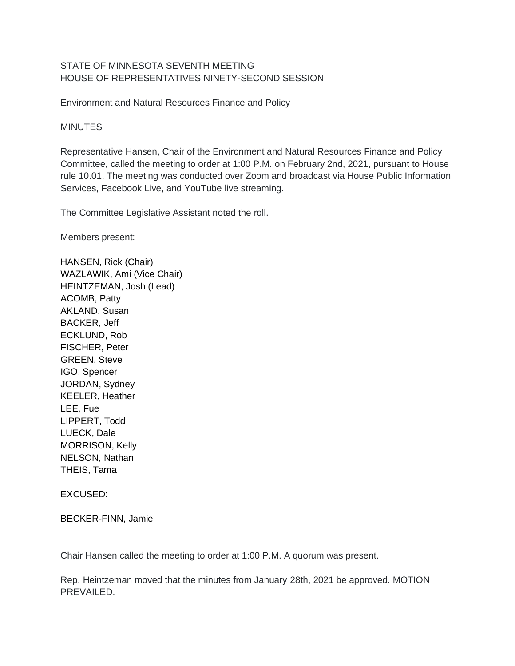## STATE OF MINNESOTA SEVENTH MEETING HOUSE OF REPRESENTATIVES NINETY-SECOND SESSION

Environment and Natural Resources Finance and Policy

## **MINUTES**

Representative Hansen, Chair of the Environment and Natural Resources Finance and Policy Committee, called the meeting to order at 1:00 P.M. on February 2nd, 2021, pursuant to House rule 10.01. The meeting was conducted over Zoom and broadcast via House Public Information Services, Facebook Live, and YouTube live streaming.

The Committee Legislative Assistant noted the roll.

Members present:

HANSEN, Rick (Chair) WAZLAWIK, Ami (Vice Chair) HEINTZEMAN, Josh (Lead) ACOMB, Patty AKLAND, Susan BACKER, Jeff ECKLUND, Rob FISCHER, Peter GREEN, Steve IGO, Spencer JORDAN, Sydney KEELER, Heather LEE, Fue LIPPERT, Todd LUECK, Dale MORRISON, Kelly NELSON, Nathan THEIS, Tama

## EXCUSED:

BECKER-FINN, Jamie

Chair Hansen called the meeting to order at 1:00 P.M. A quorum was present.

Rep. Heintzeman moved that the minutes from January 28th, 2021 be approved. MOTION PREVAILED.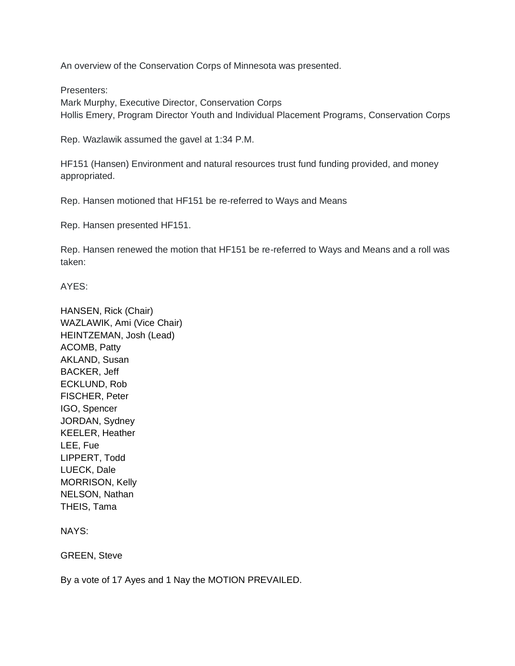An overview of the Conservation Corps of Minnesota was presented.

Presenters:

Mark Murphy, Executive Director, Conservation Corps Hollis Emery, Program Director Youth and Individual Placement Programs, Conservation Corps

Rep. Wazlawik assumed the gavel at 1:34 P.M.

HF151 (Hansen) Environment and natural resources trust fund funding provided, and money appropriated.

Rep. Hansen motioned that HF151 be re-referred to Ways and Means

Rep. Hansen presented HF151.

Rep. Hansen renewed the motion that HF151 be re-referred to Ways and Means and a roll was taken:

AYES:

HANSEN, Rick (Chair) WAZLAWIK, Ami (Vice Chair) HEINTZEMAN, Josh (Lead) ACOMB, Patty AKLAND, Susan BACKER, Jeff ECKLUND, Rob FISCHER, Peter IGO, Spencer JORDAN, Sydney KEELER, Heather LEE, Fue LIPPERT, Todd LUECK, Dale MORRISON, Kelly NELSON, Nathan THEIS, Tama

NAYS:

GREEN, Steve

By a vote of 17 Ayes and 1 Nay the MOTION PREVAILED.